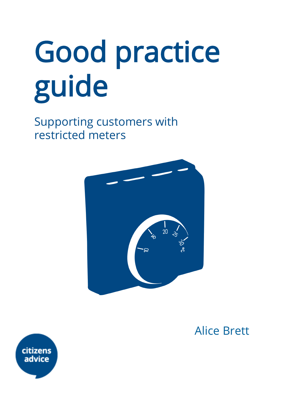# Good practice guide

Supporting customers with restricted meters



Alice Brett

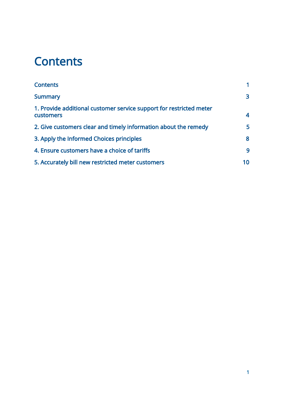# <span id="page-1-0"></span>**Contents**

| <b>Contents</b>                                                                  |     |
|----------------------------------------------------------------------------------|-----|
| <b>Summary</b>                                                                   | 3   |
| 1. Provide additional customer service support for restricted meter<br>customers | 4   |
| 2. Give customers clear and timely information about the remedy                  | 5   |
| 3. Apply the Informed Choices principles                                         | 8   |
| 4. Ensure customers have a choice of tariffs                                     | 9   |
| 5. Accurately bill new restricted meter customers                                | 10. |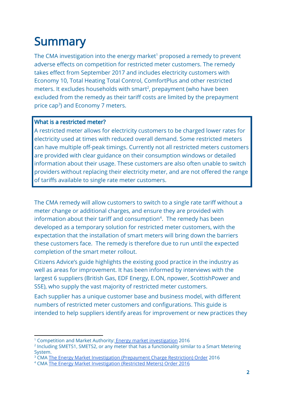# <span id="page-2-0"></span>**Summary**

The CMA investigation into the energy market<sup>1</sup> proposed a remedy to prevent adverse effects on competition for restricted meter customers. The remedy takes effect from September 2017 and includes electricity customers with Economy 10, Total Heating Total Control, ComfortPlus and other restricted meters. It excludes households with smart<sup>2</sup>, prepayment (who have been excluded from the remedy as their tariff costs are limited by the prepayment price cap<sup>3</sup>) and Economy 7 meters.

#### What is a restricted meter?

A restricted meter allows for electricity customers to be charged lower rates for electricity used at times with reduced overall demand. Some restricted meters can have multiple off-peak timings. Currently not all restricted meters customers are provided with clear guidance on their consumption windows or detailed information about their usage. These customers are also often unable to switch providers without replacing their electricity meter, and are not offered the range of tariffs available to single rate meter customers.

The CMA remedy will allow customers to switch to a single rate tariff without a meter change or additional charges, and ensure they are provided with information about their tariff and consumption<sup>4</sup>. The remedy has been developed as a temporary solution for restricted meter customers, with the expectation that the installation of smart meters will bring down the barriers these customers face. The remedy is therefore due to run until the expected completion of the smart meter rollout.

Citizens Advice's guide highlights the existing good practice in the industry as well as areas for improvement. It has been informed by interviews with the largest 6 suppliers (British Gas, EDF Energy, E.ON, npower, ScottishPower and SSE), who supply the vast majority of restricted meter customers.

Each supplier has a unique customer base and business model, with different numbers of restricted meter customers and configurations. This guide is intended to help suppliers identify areas for improvement or new practices they

<sup>&</sup>lt;sup>1</sup> Competition and Market Authority: **Energy market [investigation](https://www.gov.uk/cma-cases/energy-market-investigation) 2016** 

<sup>2</sup> Including SMETS1, SMETS2, or any meter that has a functionality similar to a Smart Metering System.

<sup>&</sup>lt;sup>3</sup> CMA The Energy Market Investigation [\(Prepayment](https://www.gov.uk/government/uploads/system/uploads/attachment_data/file/584888/energy-market-prepayment-charge-restriction-order-2016.pdf) Charge Restriction) Order 2016

<sup>4</sup> CMA The Energy Market [Investigation](https://assets.publishing.service.gov.uk/media/58513fb5ed915d0aeb0000a0/energy-market-restricted-meters-order-2016.pdf) (Restricted Meters) Order 2016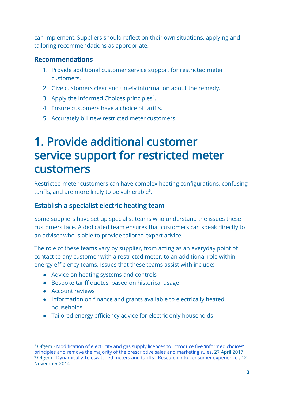can implement. Suppliers should reflect on their own situations, applying and tailoring recommendations as appropriate.

#### Recommendations

- 1. Provide additional customer service support for restricted meter customers.
- 2. Give customers clear and timely information about the remedy.
- 3. Apply the Informed Choices principles<sup>5</sup>.
- 4. Ensure customers have a choice of tariffs.
- 5. Accurately bill new restricted meter customers

# <span id="page-3-0"></span>1. Provide additional customer service support for restricted meter customers

Restricted meter customers can have complex heating configurations, confusing tariffs, and are more likely to be vulnerable $6$ .

## Establish a specialist electric heating team

Some suppliers have set up specialist teams who understand the issues these customers face. A dedicated team ensures that customers can speak directly to an adviser who is able to provide tailored expert advice.

The role of these teams vary by supplier, from acting as an everyday point of contact to any customer with a restricted meter, to an additional role within energy efficiency teams. Issues that these teams assist with include:

- Advice on heating systems and controls
- Bespoke tariff quotes, based on historical usage
- Account reviews
- Information on finance and grants available to electrically heated households
- Tailored energy efficiency advice for electric only households

<sup>&</sup>lt;sup>5</sup> Ofgem - [Modification](https://www.ofgem.gov.uk/system/files/docs/2017/04/slc_25_decision_document_0.pdf) of electricity and gas supply licences to introduce five 'informed choices' principles and remove the majority of the [prescriptive](https://www.ofgem.gov.uk/system/files/docs/2017/04/slc_25_decision_document_0.pdf) sales and marketing rules. 27 April 2017  $^6$  Ofgem - Dynamically [Teleswitched](https://www.ofgem.gov.uk/sites/default/files/docs/2014/11/cover_letter_-_understanding_the_experiences_of_dts_customers_big_sofa_research_report_final_2.pdf) meters and tariffs - Research into consumer experience . 12 November 2014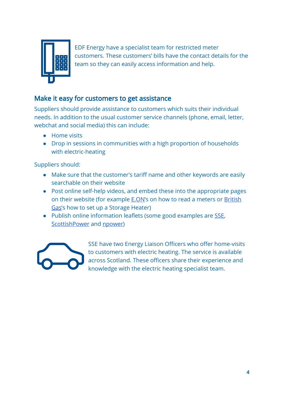

EDF Energy have a specialist team for restricted meter customers. These customers' bills have the contact details for the team so they can easily access information and help.

### Make it easy for customers to get assistance

Suppliers should provide assistance to customers which suits their individual needs. In addition to the usual customer service channels (phone, email, letter, webchat and social media) this can include:

- Home visits
- Drop in sessions in communities with a high proportion of households with electric-heating

Suppliers should:

- Make sure that the customer's tariff name and other keywords are easily searchable on their website
- Post online self-help videos, and embed these into the appropriate pages on their website (for example **E.ON's** on how to read a meters or **[British](http://www.britishgas.co.uk/help-and-advice/save-energy-save-money/Energy-saving-tips/setting-up-electric-storage-heaters.html)** [Gas'](http://www.britishgas.co.uk/help-and-advice/save-energy-save-money/Energy-saving-tips/setting-up-electric-storage-heaters.html)s how to set up a Storage Heater)
- Publish online information leaflets (some good examples are [SSE,](https://sse.co.uk/help/electric-heating) [ScottishPower](https://www.scottishpower.co.uk/pdf/energy-efficiency/electric-heating.pdf) and [npower\)](http://www.npower.com/idc/groups/wcms_content/@wcms/documents/digitalassets/economy_7_tariff.pdf)



SSE have two Energy Liaison Officers who offer home-visits to customers with electric heating. The service is available across Scotland. These officers share their experience and knowledge with the electric heating specialist team.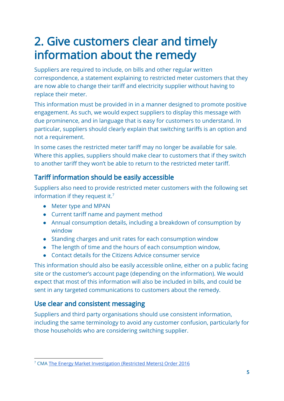# <span id="page-5-0"></span>2. Give customers clear and timely information about the remedy

Suppliers are required to include, on bills and other regular written correspondence, a statement explaining to restricted meter customers that they are now able to change their tariff and electricity supplier without having to replace their meter.

This information must be provided in in a manner designed to promote positive engagement. As such, we would expect suppliers to display this message with due prominence, and in language that is easy for customers to understand. In particular, suppliers should clearly explain that switching tariffs is an option and not a requirement.

In some cases the restricted meter tariff may no longer be available for sale. Where this applies, suppliers should make clear to customers that if they switch to another tariff they won't be able to return to the restricted meter tariff.

## Tariff information should be easily accessible

Suppliers also need to provide restricted meter customers with the following set information if they request it.<sup>7</sup>

- Meter type and MPAN
- Current tariff name and payment method
- Annual consumption details, including a breakdown of consumption by window
- Standing charges and unit rates for each consumption window
- The length of time and the hours of each consumption window,
- Contact details for the Citizens Advice consumer service

This information should also be easily accessible online, either on a public facing site or the customer's account page (depending on the information). We would expect that most of this information will also be included in bills, and could be sent in any targeted communications to customers about the remedy.

## Use clear and consistent messaging

Suppliers and third party organisations should use consistent information, including the same terminology to avoid any customer confusion, particularly for those households who are considering switching supplier.

<sup>7</sup> CMA The Energy Market [Investigation](https://assets.publishing.service.gov.uk/media/58513fb5ed915d0aeb0000a0/energy-market-restricted-meters-order-2016.pdf) (Restricted Meters) Order 2016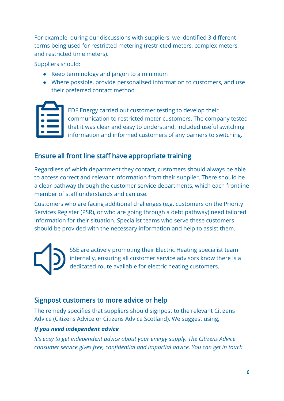For example, during our discussions with suppliers, we identified 3 different terms being used for restricted metering (restricted meters, complex meters, and restricted time meters).

Suppliers should:

- Keep terminology and jargon to a minimum
- Where possible, provide personalised information to customers, and use their preferred contact method

EDF Energy carried out customer testing to develop their communication to restricted meter customers. The company tested that it was clear and easy to understand, included useful switching information and informed customers of any barriers to switching.

# Ensure all front line staff have appropriate training

Regardless of which department they contact, customers should always be able to access correct and relevant information from their supplier. There should be a clear pathway through the customer service departments, which each frontline member of staff understands and can use.

Customers who are facing additional challenges (e.g. customers on the Priority Services Register (PSR), or who are going through a debt pathway) need tailored information for their situation. Specialist teams who serve these customers should be provided with the necessary information and help to assist them.



SSE are actively promoting their Electric Heating specialist team internally, ensuring all customer service advisors know there is a dedicated route available for electric heating customers.

## Signpost customers to more advice or help

The remedy specifies that suppliers should signpost to the relevant Citizens Advice (Citizens Advice or Citizens Advice Scotland). We suggest using;

#### *If you need independent advice*

*It's easy to get independent advice about your energy supply. The Citizens Advice consumer service gives free, confidential and impartial advice. You can get in touch*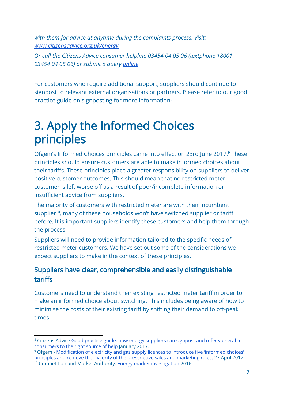*with them for advice at anytime during the complaints process. Visit: [www.citizensadvice.org.uk/energy](http://www.citizensadvice.org.uk/energy)*

*Or call the Citizens Advice consumer helpline 03454 04 05 06 (textphone 18001 03454 04 05 06) or submit a query [online](https://forms.adviceguide.org.uk/complaint_energy.aspx)*

For customers who require additional support, suppliers should continue to signpost to relevant external organisations or partners. Please refer to our good practice guide on signposting for more information<sup>8</sup>.

# <span id="page-7-0"></span>3. Apply the Informed Choices principles

Ofgem's Informed Choices principles came into effect on 23rd June 2017.<sup>9</sup> These principles should ensure customers are able to make informed choices about their tariffs. These principles place a greater responsibility on suppliers to deliver positive customer outcomes. This should mean that no restricted meter customer is left worse off as a result of poor/incomplete information or insufficient advice from suppliers.

The majority of customers with restricted meter are with their incumbent supplier<sup>10</sup>, many of these households won't have switched supplier or tariff before. It is important suppliers identify these customers and help them through the process.

Suppliers will need to provide information tailored to the specific needs of restricted meter customers. We have set out some of the considerations we expect suppliers to make in the context of these principles.

## Suppliers have clear, comprehensible and easily distinguishable tariffs

Customers need to understand their existing restricted meter tariff in order to make an informed choice about switching. This includes being aware of how to minimise the costs of their existing tariff by shifting their demand to off-peak times.

<sup>&</sup>lt;sup>8</sup> Citizens Advice Good practice guide: how energy suppliers can signpost and refer [vulnerable](https://www.citizensadvice.org.uk/Global/CitizensAdvice/Energy/Good%20practice%20guide%20FINAL.pdf) [consumers](https://www.citizensadvice.org.uk/Global/CitizensAdvice/Energy/Good%20practice%20guide%20FINAL.pdf) to the right source of help January 2017.

<sup>&</sup>lt;sup>9</sup> Ofgem - [Modification](https://www.ofgem.gov.uk/system/files/docs/2017/04/slc_25_decision_document_0.pdf) of electricity and gas supply licences to introduce five 'informed choices' principles and remove the majority of the [prescriptive](https://www.ofgem.gov.uk/system/files/docs/2017/04/slc_25_decision_document_0.pdf) sales and marketing rules. 27 April 2017

<sup>&</sup>lt;sup>10</sup> Competition and Market Authority: **Energy market [investigation](https://www.gov.uk/cma-cases/energy-market-investigation)** 2016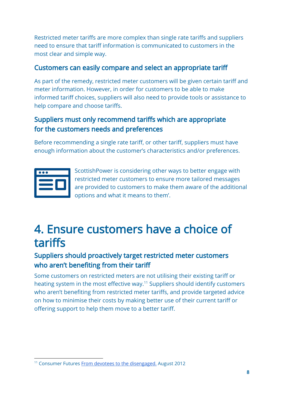Restricted meter tariffs are more complex than single rate tariffs and suppliers need to ensure that tariff information is communicated to customers in the most clear and simple way.

## Customers can easily compare and select an appropriate tariff

As part of the remedy, restricted meter customers will be given certain tariff and meter information. However, in order for customers to be able to make informed tariff choices, suppliers will also need to provide tools or assistance to help compare and choose tariffs.

## Suppliers must only recommend tariffs which are appropriate for the customers needs and preferences

Before recommending a single rate tariff, or other tariff, suppliers must have enough information about the customer's characteristics and/or preferences.

ScottishPower is considering other ways to better engage with restricted meter customers to ensure more tailored messages are provided to customers to make them aware of the additional options and what it means to them'.

# <span id="page-8-0"></span>4. Ensure customers have a choice of tariffs

## Suppliers should proactively target restricted meter customers who aren't benefiting from their tariff

Some customers on restricted meters are not utilising their existing tariff or heating system in the most effective way.<sup>11</sup> Suppliers should identify customers who aren't benefiting from restricted meter tariffs, and provide targeted advice on how to minimise their costs by making better use of their current tariff or offering support to help them move to a better tariff.

<sup>11</sup> Consumer Futures From devotees to the [disengaged.](http://webarchive.nationalarchives.gov.uk/20140522123945/http://www.consumerfutures.org.uk/files/2013/07/From-devotees-to-the-disengaged.pdf) August 2012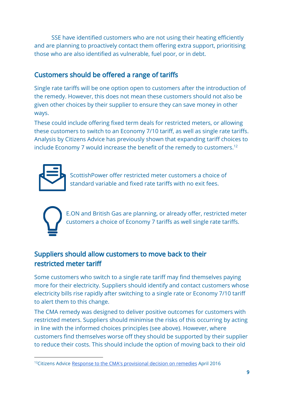SSE have identified customers who are not using their heating efficiently and are planning to proactively contact them offering extra support, prioritising those who are also identified as vulnerable, fuel poor, or in debt.

# Customers should be offered a range of tariffs

Single rate tariffs will be one option open to customers after the introduction of the remedy. However, this does not mean these customers should not also be given other choices by their supplier to ensure they can save money in other ways.

These could include offering fixed term deals for restricted meters, or allowing these customers to switch to an Economy 7/10 tariff, as well as single rate tariffs. Analysis by Citizens Advice has previously shown that expanding tariff choices to include Economy 7 would increase the benefit of the remedy to customers.<sup>12</sup>

ScottishPower offer restricted meter customers a choice of standard variable and fixed rate tariffs with no exit fees.



E.ON and British Gas are planning, or already offer, restricted meter customers a choice of Economy 7 tariffs as well single rate tariffs.

# Suppliers should allow customers to move back to their restricted meter tariff

Some customers who switch to a single rate tariff may find themselves paying more for their electricity. Suppliers should identify and contact customers whose electricity bills rise rapidly after switching to a single rate or Economy 7/10 tariff to alert them to this change.

The CMA remedy was designed to deliver positive outcomes for customers with restricted meters. Suppliers should minimise the risks of this occurring by acting in line with the informed choices principles (see above). However, where customers find themselves worse off they should be supported by their supplier to reduce their costs. This should include the option of moving back to their old

<sup>&</sup>lt;sup>12</sup>Citizens Advice Response to the CMA's [provisional](https://www.citizensadvice.org.uk/about-us/policy/policy-research-topics/energy-policy-research-and-consultation-responses/energy-consultation-responses/response-to-the-cmas-provisional-decision-on-remedies/) decision on remedies April 2016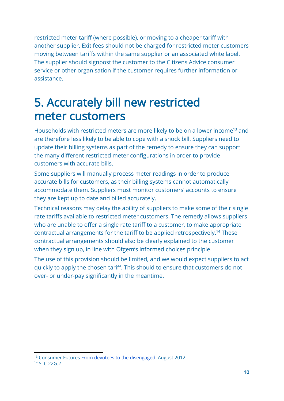restricted meter tariff (where possible), or moving to a cheaper tariff with another supplier. Exit fees should not be charged for restricted meter customers moving between tariffs within the same supplier or an associated white label. The supplier should signpost the customer to the Citizens Advice consumer service or other organisation if the customer requires further information or assistance.

# <span id="page-10-0"></span>5. Accurately bill new restricted meter customers

Households with restricted meters are more likely to be on a lower income<sup>13</sup> and are therefore less likely to be able to cope with a shock bill. Suppliers need to update their billing systems as part of the remedy to ensure they can support the many different restricted meter configurations in order to provide customers with accurate bills.

Some suppliers will manually process meter readings in order to produce accurate bills for customers, as their billing systems cannot automatically accommodate them. Suppliers must monitor customers' accounts to ensure they are kept up to date and billed accurately.

Technical reasons may delay the ability of suppliers to make some of their single rate tariffs available to restricted meter customers. The remedy allows suppliers who are unable to offer a single rate tariff to a customer, to make appropriate contractual arrangements for the tariff to be applied retrospectively.<sup>14</sup> These contractual arrangements should also be clearly explained to the customer when they sign up, in line with Ofgem's informed choices principle.

The use of this provision should be limited, and we would expect suppliers to act quickly to apply the chosen tariff. This should to ensure that customers do not over- or under-pay significantly in the meantime.

<sup>&</sup>lt;sup>13</sup> Consumer Futures From devotees to the [disengaged.](http://webarchive.nationalarchives.gov.uk/20140522123945/http://www.consumerfutures.org.uk/files/2013/07/From-devotees-to-the-disengaged.pdf) August 2012

<sup>14</sup> SLC 22G.2